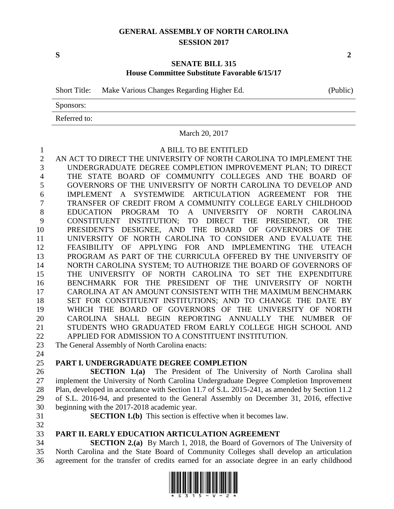## **GENERAL ASSEMBLY OF NORTH CAROLINA SESSION 2017**

#### **SENATE BILL 315 House Committee Substitute Favorable 6/15/17**

Short Title: Make Various Changes Regarding Higher Ed. (Public)

Sponsors:

Referred to:

### March 20, 2017

## A BILL TO BE ENTITLED

 AN ACT TO DIRECT THE UNIVERSITY OF NORTH CAROLINA TO IMPLEMENT THE UNDERGRADUATE DEGREE COMPLETION IMPROVEMENT PLAN; TO DIRECT THE STATE BOARD OF COMMUNITY COLLEGES AND THE BOARD OF GOVERNORS OF THE UNIVERSITY OF NORTH CAROLINA TO DEVELOP AND IMPLEMENT A SYSTEMWIDE ARTICULATION AGREEMENT FOR THE TRANSFER OF CREDIT FROM A COMMUNITY COLLEGE EARLY CHILDHOOD EDUCATION PROGRAM TO A UNIVERSITY OF NORTH CAROLINA CONSTITUENT INSTITUTION; TO DIRECT THE PRESIDENT, OR THE PRESIDENT'S DESIGNEE, AND THE BOARD OF GOVERNORS OF THE UNIVERSITY OF NORTH CAROLINA TO CONSIDER AND EVALUATE THE FEASIBILITY OF APPLYING FOR AND IMPLEMENTING THE UTEACH PROGRAM AS PART OF THE CURRICULA OFFERED BY THE UNIVERSITY OF NORTH CAROLINA SYSTEM; TO AUTHORIZE THE BOARD OF GOVERNORS OF THE UNIVERSITY OF NORTH CAROLINA TO SET THE EXPENDITURE BENCHMARK FOR THE PRESIDENT OF THE UNIVERSITY OF NORTH CAROLINA AT AN AMOUNT CONSISTENT WITH THE MAXIMUM BENCHMARK 18 SET FOR CONSTITUENT INSTITUTIONS; AND TO CHANGE THE DATE BY WHICH THE BOARD OF GOVERNORS OF THE UNIVERSITY OF NORTH CAROLINA SHALL BEGIN REPORTING ANNUALLY THE NUMBER OF STUDENTS WHO GRADUATED FROM EARLY COLLEGE HIGH SCHOOL AND APPLIED FOR ADMISSION TO A CONSTITUENT INSTITUTION.

The General Assembly of North Carolina enacts:

# **PART I. UNDERGRADUATE DEGREE COMPLETION**

 **SECTION 1.(a)** The President of The University of North Carolina shall implement the University of North Carolina Undergraduate Degree Completion Improvement Plan, developed in accordance with Section 11.7 of S.L. 2015-241, as amended by Section 11.2 of S.L. 2016-94, and presented to the General Assembly on December 31, 2016, effective beginning with the 2017-2018 academic year.

**SECTION 1.(b)** This section is effective when it becomes law.

# **PART II. EARLY EDUCATION ARTICULATION AGREEMENT**

 **SECTION 2.(a)** By March 1, 2018, the Board of Governors of The University of North Carolina and the State Board of Community Colleges shall develop an articulation agreement for the transfer of credits earned for an associate degree in an early childhood

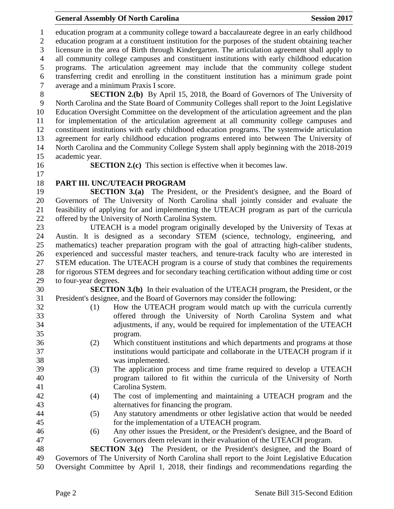### **General Assembly Of North Carolina Session 2017**

 education program at a community college toward a baccalaureate degree in an early childhood education program at a constituent institution for the purposes of the student obtaining teacher licensure in the area of Birth through Kindergarten. The articulation agreement shall apply to all community college campuses and constituent institutions with early childhood education programs. The articulation agreement may include that the community college student transferring credit and enrolling in the constituent institution has a minimum grade point average and a minimum Praxis I score. **SECTION 2.(b)** By April 15, 2018, the Board of Governors of The University of North Carolina and the State Board of Community Colleges shall report to the Joint Legislative Education Oversight Committee on the development of the articulation agreement and the plan for implementation of the articulation agreement at all community college campuses and constituent institutions with early childhood education programs. The systemwide articulation agreement for early childhood education programs entered into between The University of North Carolina and the Community College System shall apply beginning with the 2018-2019 academic year. **SECTION 2.(c)** This section is effective when it becomes law. **PART III. UNC/UTEACH PROGRAM SECTION 3.(a)** The President, or the President's designee, and the Board of Governors of The University of North Carolina shall jointly consider and evaluate the feasibility of applying for and implementing the UTEACH program as part of the curricula offered by the University of North Carolina System. UTEACH is a model program originally developed by the University of Texas at Austin. It is designed as a secondary STEM (science, technology, engineering, and mathematics) teacher preparation program with the goal of attracting high-caliber students, experienced and successful master teachers, and tenure-track faculty who are interested in STEM education. The UTEACH program is a course of study that combines the requirements for rigorous STEM degrees and for secondary teaching certification without adding time or cost to four-year degrees. **SECTION 3.(b)** In their evaluation of the UTEACH program, the President, or the President's designee, and the Board of Governors may consider the following: (1) How the UTEACH program would match up with the curricula currently offered through the University of North Carolina System and what adjustments, if any, would be required for implementation of the UTEACH program. (2) Which constituent institutions and which departments and programs at those institutions would participate and collaborate in the UTEACH program if it was implemented. (3) The application process and time frame required to develop a UTEACH program tailored to fit within the curricula of the University of North Carolina System. (4) The cost of implementing and maintaining a UTEACH program and the alternatives for financing the program. (5) Any statutory amendments or other legislative action that would be needed for the implementation of a UTEACH program. (6) Any other issues the President, or the President's designee, and the Board of Governors deem relevant in their evaluation of the UTEACH program. **SECTION 3.(c)** The President, or the President's designee, and the Board of Governors of The University of North Carolina shall report to the Joint Legislative Education Oversight Committee by April 1, 2018, their findings and recommendations regarding the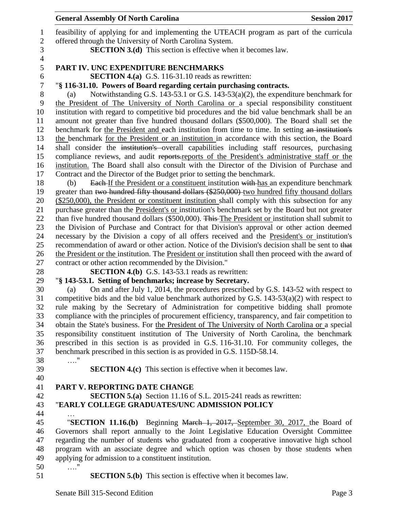| 1<br>$\overline{2}$ | feasibility of applying for and implementing the UTEACH program as part of the curricula<br>offered through the University of North Carolina System. |
|---------------------|------------------------------------------------------------------------------------------------------------------------------------------------------|
| 3                   | <b>SECTION 3.(d)</b> This section is effective when it becomes law.                                                                                  |
| $\overline{4}$      |                                                                                                                                                      |
| 5                   | PART IV. UNC EXPENDITURE BENCHMARKS                                                                                                                  |
| 6                   | SECTION 4.(a) G.S. 116-31.10 reads as rewritten:                                                                                                     |
| 7                   | "§ 116-31.10. Powers of Board regarding certain purchasing contracts.                                                                                |
| 8                   | Notwithstanding G.S. 143-53.1 or G.S. 143-53( $a$ )(2), the expenditure benchmark for<br>(a)                                                         |
| 9                   | the President of The University of North Carolina or a special responsibility constituent                                                            |
| 10                  | institution with regard to competitive bid procedures and the bid value benchmark shall be an                                                        |
| 11                  | amount not greater than five hundred thousand dollars (\$500,000). The Board shall set the                                                           |
| 12                  | benchmark for the President and each institution from time to time. In setting an institution's                                                      |
| 13                  | the benchmark for the President or an institution in accordance with this section, the Board                                                         |
| 14                  | shall consider the institution's overall capabilities including staff resources, purchasing                                                          |
| 15                  | compliance reviews, and audit reports reports of the President's administrative staff or the                                                         |
| 16                  | institution. The Board shall also consult with the Director of the Division of Purchase and                                                          |
| 17                  | Contract and the Director of the Budget prior to setting the benchmark.                                                                              |
| 18                  | <b>Each-If the President or a constituent institution with-has an expenditure benchmark</b><br>(b)                                                   |
| 19                  | greater than two hundred fifty thousand dollars (\$250,000) two hundred fifty thousand dollars                                                       |
| 20                  | (\$250,000), the President or constituent institution shall comply with this subsection for any                                                      |
| 21                  | purchase greater than the President's or institution's benchmark set by the Board but not greater                                                    |
| 22                  | than five hundred thousand dollars (\$500,000). This The President or institution shall submit to                                                    |
| 23                  | the Division of Purchase and Contract for that Division's approval or other action deemed                                                            |
| 24                  | necessary by the Division a copy of all offers received and the President's or institution's                                                         |
| 25                  | recommendation of award or other action. Notice of the Division's decision shall be sent to that                                                     |
| 26                  | the President or the institution. The President or institution shall then proceed with the award of                                                  |
| 27                  | contract or other action recommended by the Division."                                                                                               |
| 28                  | <b>SECTION 4.(b)</b> G.S. 143-53.1 reads as rewritten:                                                                                               |
| 29                  | "§ 143-53.1. Setting of benchmarks; increase by Secretary.                                                                                           |
| 30                  | On and after July 1, 2014, the procedures prescribed by G.S. 143-52 with respect to<br>(a)                                                           |
| 31                  | competitive bids and the bid value benchmark authorized by G.S. $143-53(a)(2)$ with respect to                                                       |
| 32                  | rule making by the Secretary of Administration for competitive bidding shall promote                                                                 |
| 33                  | compliance with the principles of procurement efficiency, transparency, and fair competition to                                                      |
| 34                  | obtain the State's business. For the President of The University of North Carolina or a special                                                      |
| 35                  | responsibility constituent institution of The University of North Carolina, the benchmark                                                            |
| 36                  | prescribed in this section is as provided in G.S. 116-31.10. For community colleges, the                                                             |
| 37                  | benchmark prescribed in this section is as provided in G.S. 115D-58.14.                                                                              |
| 38                  | . '                                                                                                                                                  |
| 39                  | <b>SECTION 4.(c)</b> This section is effective when it becomes law.                                                                                  |
| 40                  |                                                                                                                                                      |
| 41                  | PART V. REPORTING DATE CHANGE                                                                                                                        |
| 42                  | <b>SECTION 5.(a)</b> Section 11.16 of S.L. 2015-241 reads as rewritten:                                                                              |
| 43                  | "EARLY COLLEGE GRADUATES/UNC ADMISSION POLICY                                                                                                        |
| 44                  |                                                                                                                                                      |
| 45                  | "SECTION 11.16.(b) Beginning March 1, 2017, September 30, 2017, the Board of                                                                         |
| 46                  | Governors shall report annually to the Joint Legislative Education Oversight Committee                                                               |
| 47                  | regarding the number of students who graduated from a cooperative innovative high school                                                             |
| 48                  | program with an associate degree and which option was chosen by those students when                                                                  |
| 49                  | applying for admission to a constituent institution.                                                                                                 |
| 50                  | $\ldots$ "                                                                                                                                           |
| 51                  | <b>SECTION 5.(b)</b> This section is effective when it becomes law.                                                                                  |
|                     | Senate Bill 315-Second Edition<br>Page 3                                                                                                             |

**General Assembly Of North Carolina Session 2017**